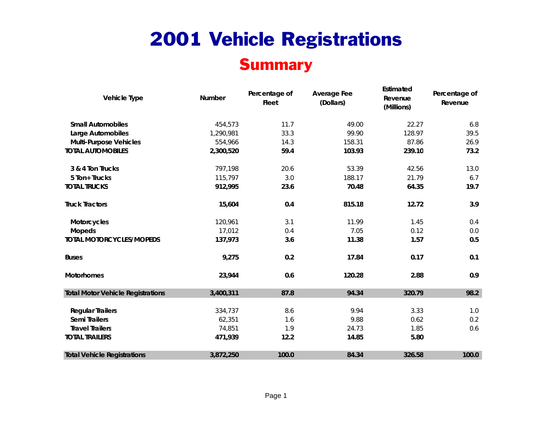#### **Summary**

| <b>Vehicle Type</b>                      | Number    | Percentage of<br><b>Fleet</b> | <b>Average Fee</b><br>(Dollars) | Estimated<br>Revenue<br>(Millions) | Percentage of<br>Revenue |
|------------------------------------------|-----------|-------------------------------|---------------------------------|------------------------------------|--------------------------|
| <b>Small Automobiles</b>                 | 454,573   | 11.7                          | 49.00                           | 22.27                              | 6.8                      |
| Large Automobiles                        | 1,290,981 | 33.3                          | 99.90                           | 128.97                             | 39.5                     |
| <b>Multi-Purpose Vehicles</b>            | 554,966   | 14.3                          | 158.31                          | 87.86                              | 26.9                     |
| <b>TOTAL AUTOMOBILES</b>                 | 2,300,520 | 59.4                          | 103.93                          | 239.10                             | 73.2                     |
| 3 & 4 Ton Trucks                         | 797,198   | 20.6                          | 53.39                           | 42.56                              | 13.0                     |
| 5 Ton+ Trucks                            | 115,797   | 3.0                           | 188.17                          | 21.79                              | 6.7                      |
| <b>TOTAL TRUCKS</b>                      | 912,995   | 23.6                          | 70.48                           | 64.35                              | 19.7                     |
| <b>Truck Tractors</b>                    | 15,604    | 0.4                           | 815.18                          | 12.72                              | 3.9                      |
| Motorcycles                              | 120,961   | 3.1                           | 11.99                           | 1.45                               | 0.4                      |
| <b>Mopeds</b>                            | 17,012    | 0.4                           | 7.05                            | 0.12                               | 0.0                      |
| <b>TOTAL MOTORCYCLES/MOPEDS</b>          | 137,973   | 3.6                           | 11.38                           | 1.57                               | 0.5                      |
| <b>Buses</b>                             | 9,275     | 0.2                           | 17.84                           | 0.17                               | 0.1                      |
| <b>Motorhomes</b>                        | 23,944    | 0.6                           | 120.28                          | 2.88                               | 0.9                      |
| <b>Total Motor Vehicle Registrations</b> | 3,400,311 | 87.8                          | 94.34                           | 320.79                             | 98.2                     |
| <b>Regular Trailers</b>                  | 334,737   | 8.6                           | 9.94                            | 3.33                               | 1.0                      |
| Semi Trailers                            | 62,351    | 1.6                           | 9.88                            | 0.62                               | 0.2                      |
| <b>Travel Trailers</b>                   | 74,851    | 1.9                           | 24.73                           | 1.85                               | 0.6                      |
| <b>TOTAL TRAILERS</b>                    | 471,939   | 12.2                          | 14.85                           | 5.80                               |                          |
| <b>Total Vehicle Registrations</b>       | 3,872,250 | 100.0                         | 84.34                           | 326.58                             | 100.0                    |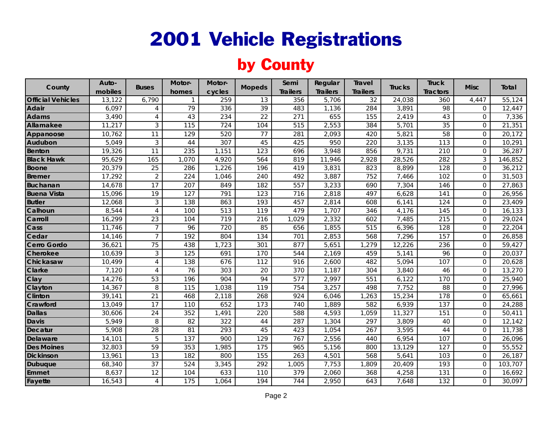### by County

| County                   | Auto-   | <b>Buses</b>    | Motor-       | Motor- | <b>Mopeds</b>   | Semi            | Regular         | <b>Travel</b>    | <b>Trucks</b> | <b>Truck</b>    | <b>Misc</b>         | Total               |
|--------------------------|---------|-----------------|--------------|--------|-----------------|-----------------|-----------------|------------------|---------------|-----------------|---------------------|---------------------|
|                          | mobiles |                 | homes        | cycles |                 | <b>Trailers</b> | <b>Trailers</b> | <b>Trailers</b>  |               | <b>Tractors</b> |                     |                     |
| <b>Official Vehicles</b> | 13,122  | 6,790           | $\mathbf{1}$ | 259    | 13              | 356             | 5,706           | 32               | 24,038        | 360             | 4,447               | 55,124              |
| Adair                    | 6,097   | 4               | 79           | 336    | 39              | 483             | 1,136           | 284              | 3,891         | 98              | $\mathbf 0$         | 12,447              |
| <b>Adams</b>             | 3,490   | 4               | 43           | 234    | $\overline{22}$ | 271             | 655             | 155              | 2,419         | 43              | $\mathbf 0$         | 7,336               |
| Allamakee                | 11,217  | 3               | 115          | 724    | 104             | 515             | 2,553           | 384              | 5,701         | 35              | $\overline{0}$      | 21,351              |
| Appanoose                | 10,762  | 11              | 129          | 520    | 77              | 281             | 2,093           | 420              | 5,821         | 58              | $\Omega$            | 20,172              |
| Audubon                  | 5,049   | 3               | 44           | 307    | 45              | 425             | 950             | 220              | 3,135         | 113             | $\mathbf 0$         | 10,291              |
| <b>Benton</b>            | 19,326  | 11              | 235          | 1,151  | 123             | 696             | 3,948           | 856              | 9,731         | 210             | $\overline{0}$      | 36,287              |
| <b>Black Hawk</b>        | 95,629  | 165             | 1,070        | 4,920  | 564             | 819             | 11,946          | 2,928            | 28,526        | 282             | 3                   | 146,852             |
| <b>Boone</b>             | 20,379  | 25              | 286          | 1,226  | 196             | 419             | 3,831           | 823              | 8,899         | 128             | $\overline{0}$      | 36,212              |
| <b>Bremer</b>            | 17,292  | $\overline{2}$  | 224          | 1,046  | 240             | 492             | 3,887           | 752              | 7,466         | 102             | $\mathbf 0$         | 31,503              |
| <b>Buchanan</b>          | 14,678  | 17              | 207          | 849    | 182             | 557             | 3,233           | 690              | 7,304         | 146             | $\mathsf{O}\xspace$ | 27,863              |
| <b>Buena Vista</b>       | 15,096  | 19              | 127          | 791    | 123             | 716             | 2,818           | 497              | 6,628         | 141             | $\overline{0}$      | 26,956              |
| <b>Butler</b>            | 12,068  | 3               | 138          | 863    | 193             | 457             | 2,814           | 608              | 6,141         | 124             | $\mathbf 0$         | 23,409              |
| Calhoun                  | 8,544   | $\overline{4}$  | 100          | 513    | 119             | 479             | 1,707           | 346              | 4,176         | 145             | $\mathbf 0$         | 16,133              |
| Carroll                  | 16,299  | 23              | 104          | 719    | 216             | 1,029           | 2,332           | 602              | 7,485         | 215             | $\overline{0}$      | 29,024              |
| Cass                     | 11,746  | $\overline{7}$  | 96           | 720    | 85              | 656             | 1,855           | $\overline{515}$ | 6,396         | 128             | $\mathsf{O}\xspace$ | 22,204              |
| Cedar                    | 14,146  | $\overline{7}$  | 192          | 804    | 134             | 701             | 2,853           | 568              | 7,296         | 157             | $\overline{0}$      | 26,858              |
| Cerro Gordo              | 36,621  | 75              | 438          | 1,723  | 301             | 877             | 5,651           | 1,279            | 12,226        | 236             | $\Omega$            | $\overline{59,427}$ |
| <b>Cherokee</b>          | 10,639  | 3               | 125          | 691    | 170             | 544             | 2,169           | 459              | 5,141         | 96              | $\mathbf 0$         | 20,037              |
| Chickasaw                | 10,499  | $\overline{4}$  | 138          | 676    | 112             | 916             | 2,600           | 482              | 5,094         | 107             | $\overline{0}$      | 20,628              |
| <b>Clarke</b>            | 7,120   | $\overline{4}$  | 76           | 303    | 20              | 370             | 1,187           | 304              | 3,840         | 46              | $\mathbf 0$         | 13,270              |
| Clay                     | 14,276  | 53              | 196          | 904    | 94              | 577             | 2,997           | 551              | 6,122         | 170             | $\overline{0}$      | 25,940              |
| Clayton                  | 14,367  | 8               | 115          | 1,038  | 119             | 754             | 3,257           | 498              | 7,752         | 88              | $\mathbf 0$         | 27,996              |
| <b>Clinton</b>           | 39,141  | $\overline{21}$ | 468          | 2,118  | 268             | 924             | 6,046           | 1,263            | 15,234        | 178             | $\mathbf 0$         | 65,661              |
| Crawford                 | 13,049  | 17              | 110          | 652    | 173             | 740             | 1,889           | 582              | 6,939         | 137             | $\overline{0}$      | 24,288              |
| <b>Dallas</b>            | 30,606  | 24              | 352          | 1,491  | 220             | 588             | 4,593           | ,059             | 11,327        | 151             | $\mathsf{O}\xspace$ | 50,411              |
| <b>Davis</b>             | 5,949   | 8               | 82           | 322    | 44              | 287             | 1,304           | 297              | 3,809         | 40              | $\mathsf{O}\xspace$ | 12,142              |
| <b>Decatur</b>           | 5,908   | $\overline{28}$ | 81           | 293    | 45              | 423             | 1,054           | 267              | 3,595         | 44              | $\overline{0}$      | 11,738              |
| <b>Delaware</b>          | 14,101  | 5               | 137          | 900    | 129             | 767             | 2,556           | 440              | 6,954         | 107             | $\mathsf{O}\xspace$ | 26,096              |
| <b>Des Moines</b>        | 32,803  | 59              | 353          | 1,985  | 175             | 965             | 5,156           | 800              | 13,129        | 127             | $\overline{0}$      | 55,552              |
| <b>Dickinson</b>         | 13,961  | 13              | 182          | 800    | 155             | 263             | 4,501           | 568              | 5,641         | 103             | $\overline{0}$      | 26,187              |
| <b>Dubuque</b>           | 68,340  | $\overline{37}$ | 524          | 3,345  | 292             | 1,005           | 7,753           | 1,809            | 20,409        | 193             | $\mathbf 0$         | 103,707             |
| Emmet                    | 8,637   | 12              | 104          | 633    | 110             | 379             | 2,060           | 368              | 4,258         | 131             | $\overline{0}$      | 16,692              |
| Fayette                  | 16,543  | $\overline{4}$  | 175          | 1,064  | 194             | 744             | 2,950           | 643              | 7,648         | 132             | $\mathbf 0$         | 30,097              |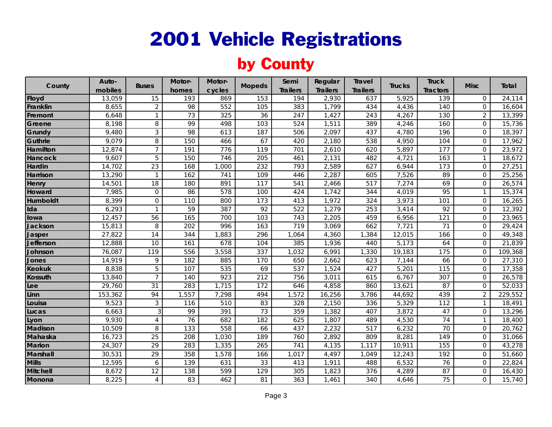#### by County

| County          | Auto-   | <b>Buses</b>    | Motor-           | Motor- | <b>Mopeds</b> | Semi            | Regular         | <b>Travel</b>   | <b>Trucks</b> | <b>Truck</b>    | <b>Misc</b>         | Total   |
|-----------------|---------|-----------------|------------------|--------|---------------|-----------------|-----------------|-----------------|---------------|-----------------|---------------------|---------|
|                 | mobiles |                 | homes            | cycles |               | <b>Trailers</b> | <b>Trailers</b> | <b>Trailers</b> |               | <b>Tractors</b> |                     |         |
| <b>Floyd</b>    | 13,059  | 15              | 193              | 869    | 153           | 194             | 2,930           | 637             | 5,925         | 139             | $\overline{0}$      | 24,114  |
| Franklin        | 8,655   | $\overline{2}$  | 98               | 552    | 105           | 383             | 1,799           | 434             | 4,436         | 140             | $\overline{0}$      | 16,604  |
| Fremont         | 6,648   | $\mathbf{1}$    | 73               | 325    | 36            | 247             | 1,427           | 243             | 4,267         | 130             | $\overline{2}$      | 13,399  |
| Greene          | 8,198   | $\, 8$          | 99               | 498    | 103           | 524             | 1,511           | 389             | 4,246         | 160             | $\mathbf 0$         | 15,736  |
| Grundy          | 9,480   | $\mathfrak{Z}$  | 98               | 613    | 187           | 506             | 2,097           | 437             | 4,780         | 196             | $\overline{0}$      | 18,397  |
| Guthrie         | 9,079   | 8               | 150              | 466    | 67            | 420             | 2,180           | 538             | 4,950         | 104             | $\overline{0}$      | 17,962  |
| Hamilton        | 12,874  | $\overline{7}$  | $\overline{191}$ | 776    | 119           | 701             | 2,610           | 620             | 5,897         | 177             | $\mathbf 0$         | 23,972  |
| <b>Hancock</b>  | 9,607   | 5               | 150              | 746    | 205           | 461             | 2,131           | 482             | 4,721         | 163             | $\mathbf{1}$        | 18,672  |
| Hardin          | 14,702  | $\overline{23}$ | 168              | ,000   | 232           | 793             | 2,589           | 627             | 6,944         | 173             | $\overline{0}$      | 27,251  |
| <b>Harrison</b> | 13,290  | $\overline{1}$  | 162              | 741    | 109           | 446             | 2,287           | 605             | 7,526         | 89              | $\mathbf 0$         | 25,256  |
| Henry           | 14,501  | 18              | 180              | 891    | 117           | 541             | 2,466           | 517             | 7,274         | 69              | $\overline{0}$      | 26,574  |
| Howard          | 7,985   | $\mathbf{0}$    | 86               | 578    | 100           | 424             | 1,742           | 344             | 4,019         | 95              | $\mathbf{1}$        | 15,374  |
| Humboldt        | 8,399   | $\mathbf 0$     | 110              | 800    | 173           | 413             | 1,972           | 324             | 3,973         | 101             | $\overline{0}$      | 16,265  |
| Ida             | 6,293   | $\mathbf{1}$    | 59               | 387    | 92            | 522             | 1,279           | 253             | 3,414         | 92              | $\overline{0}$      | 12,392  |
| lowa            | 12,457  | $\overline{56}$ | 165              | 700    | 103           | 743             | 2,205           | 459             | 6,956         | 121             | $\mathbf 0$         | 23,965  |
| Jackson         | 15,813  | 8               | 202              | 996    | 163           | 719             | 3,069           | 662             | 7,721         | 71              | $\mathbf 0$         | 29,424  |
| Jasper          | 27,822  | 14              | 344              | 1,883  | 296           | 1,064           | 4,360           | 1,384           | 12,015        | 166             | $\mathbf 0$         | 49,348  |
| Jefferson       | 12,888  | 10              | 161              | 678    | 104           | 385             | 1,936           | 440             | 5,173         | 64              | $\overline{0}$      | 21,839  |
| Johnson         | 76,087  | 119             | 556              | 3,558  | 337           | 1,032           | 6,991           | 1,330           | 19,183        | 175             | $\mathbf{0}$        | 109,368 |
| Jones           | 14,919  | $\mathsf q$     | 182              | 885    | 170           | 650             | 2,662           | 623             | 7,144         | 66              | $\mathsf{O}\xspace$ | 27,310  |
| <b>Keokuk</b>   | 8,838   | 5               | 107              | 535    | 69            | 537             | 1,524           | 427             | 5,201         | 115             | $\overline{0}$      | 17,358  |
| <b>Kossuth</b>  | 13,840  | $\overline{7}$  | 140              | 923    | 212           | 756             | 3,011           | 615             | 6,767         | 307             | $\overline{0}$      | 26,578  |
| Lee             | 29,760  | 31              | 283              | 1,715  | 172           | 646             | 4,858           | 860             | 13,621        | 87              | $\mathbf 0$         | 52,033  |
| Linn            | 153,362 | 94              | 1,557            | 7,298  | 494           | 1,572           | 16,256          | 3,786           | 44,692        | 439             | $\overline{2}$      | 229,552 |
| Louisa          | 9,523   | 3               | 116              | 510    | 83            | 328             | 2,150           | 336             | 5,329         | 112             | $\mathbf{1}$        | 18,491  |
| Lucas           | 6,663   | 3               | 99               | 391    | 73            | 359             | 1,382           | 407             | 3,872         | 47              | $\mathbf 0$         | 13,296  |
| Lyon            | 9,930   | 4               | 76               | 682    | 182           | 625             | 1,807           | 489             | 4,530         | 74              | $\mathbf{1}$        | 18,400  |
| <b>Madison</b>  | 10,509  | 8               | 133              | 558    | 66            | 437             | 2,232           | 517             | 6,232         | 70              | $\mathbf 0$         | 20,762  |
| Mahaska         | 16,723  | $\overline{25}$ | 208              | 1,030  | 189           | 760             | 2,892           | 809             | 8,281         | 149             | $\mathbf 0$         | 31,066  |
| <b>Marion</b>   | 24,307  | $\overline{29}$ | 283              | 1,335  | 265           | 741             | 4,135           | 1,117           | 10,911        | 155             | $\overline{0}$      | 43,278  |
| Marshall        | 30,531  | 29              | 358              | 1,578  | 166           | 1,017           | 4,497           | 1,049           | 12,243        | 192             | $\overline{0}$      | 51,660  |
| <b>Mills</b>    | 12,595  | 6               | 139              | 631    | 33            | 413             | 1,911           | 488             | 6,532         | 76              | $\overline{0}$      | 22,824  |
| <b>Mitchell</b> | 8,672   | 12              | 138              | 599    | 129           | 305             | 1,823           | 376             | 4,289         | 87              | $\overline{0}$      | 16,430  |
| Monona          | 8,225   | $\overline{4}$  | 83               | 462    | 81            | 363             | 1,461           | 340             | 4,646         | 75              | $\mathbf 0$         | 15,740  |